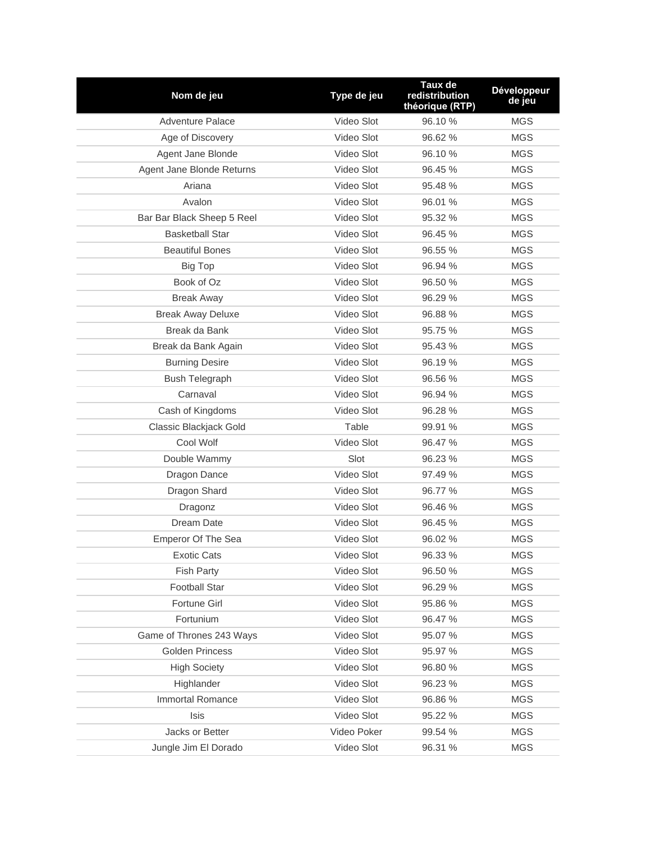| Nom de jeu                 | Type de jeu | Taux de<br>redistribution<br>théorique (RTP) | <b>Développeur</b><br>de jeu |
|----------------------------|-------------|----------------------------------------------|------------------------------|
| <b>Adventure Palace</b>    | Video Slot  | 96.10 %                                      | <b>MGS</b>                   |
| Age of Discovery           | Video Slot  | 96.62%                                       | <b>MGS</b>                   |
| Agent Jane Blonde          | Video Slot  | 96.10 %                                      | <b>MGS</b>                   |
| Agent Jane Blonde Returns  | Video Slot  | 96.45 %                                      | <b>MGS</b>                   |
| Ariana                     | Video Slot  | 95.48 %                                      | <b>MGS</b>                   |
| Avalon                     | Video Slot  | 96.01 %                                      | <b>MGS</b>                   |
| Bar Bar Black Sheep 5 Reel | Video Slot  | 95.32 %                                      | <b>MGS</b>                   |
| <b>Basketball Star</b>     | Video Slot  | 96.45 %                                      | <b>MGS</b>                   |
| <b>Beautiful Bones</b>     | Video Slot  | 96.55 %                                      | <b>MGS</b>                   |
| <b>Big Top</b>             | Video Slot  | 96.94 %                                      | <b>MGS</b>                   |
| Book of Oz                 | Video Slot  | 96.50 %                                      | <b>MGS</b>                   |
| <b>Break Away</b>          | Video Slot  | 96.29 %                                      | <b>MGS</b>                   |
| <b>Break Away Deluxe</b>   | Video Slot  | 96.88%                                       | <b>MGS</b>                   |
| Break da Bank              | Video Slot  | 95.75 %                                      | <b>MGS</b>                   |
| Break da Bank Again        | Video Slot  | 95.43 %                                      | <b>MGS</b>                   |
| <b>Burning Desire</b>      | Video Slot  | 96.19 %                                      | <b>MGS</b>                   |
| <b>Bush Telegraph</b>      | Video Slot  | 96.56 %                                      | <b>MGS</b>                   |
| Carnaval                   | Video Slot  | 96.94 %                                      | <b>MGS</b>                   |
| Cash of Kingdoms           | Video Slot  | 96.28 %                                      | <b>MGS</b>                   |
| Classic Blackjack Gold     | Table       | 99.91 %                                      | <b>MGS</b>                   |
| Cool Wolf                  | Video Slot  | 96.47 %                                      | <b>MGS</b>                   |
| Double Wammy               | Slot        | 96.23 %                                      | <b>MGS</b>                   |
| Dragon Dance               | Video Slot  | 97.49 %                                      | <b>MGS</b>                   |
| Dragon Shard               | Video Slot  | 96.77 %                                      | <b>MGS</b>                   |
| Dragonz                    | Video Slot  | 96.46 %                                      | <b>MGS</b>                   |
| Dream Date                 | Video Slot  | 96.45 %                                      | <b>MGS</b>                   |
| Emperor Of The Sea         | Video Slot  | 96.02 %                                      | <b>MGS</b>                   |
| Exotic Cats                | Video Slot  | 96.33 %                                      | MGS                          |
| <b>Fish Party</b>          | Video Slot  | 96.50 %                                      | <b>MGS</b>                   |
| <b>Football Star</b>       | Video Slot  | 96.29 %                                      | <b>MGS</b>                   |
| Fortune Girl               | Video Slot  | 95.86 %                                      | <b>MGS</b>                   |
| Fortunium                  | Video Slot  | 96.47 %                                      | MGS                          |
| Game of Thrones 243 Ways   | Video Slot  | 95.07 %                                      | <b>MGS</b>                   |
| <b>Golden Princess</b>     | Video Slot  | 95.97 %                                      | MGS                          |
| <b>High Society</b>        | Video Slot  | 96.80 %                                      | <b>MGS</b>                   |
| Highlander                 | Video Slot  | 96.23 %                                      | MGS                          |
| Immortal Romance           | Video Slot  | 96.86 %                                      | MGS                          |
| <b>Isis</b>                | Video Slot  | 95.22 %                                      | <b>MGS</b>                   |
| Jacks or Better            | Video Poker | 99.54 %                                      | <b>MGS</b>                   |
| Jungle Jim El Dorado       | Video Slot  | 96.31 %                                      | <b>MGS</b>                   |